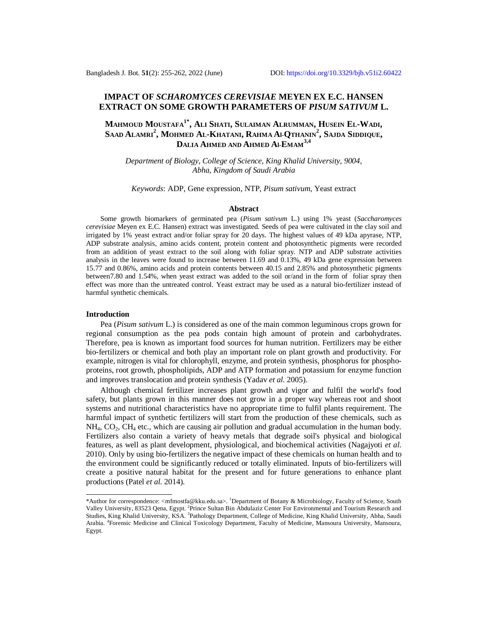# **IMPACT OF** *SCHAROMYCES CEREVISIAE* **MEYEN EX E.C. HANSEN EXTRACT ON SOME GROWTH PARAMETERS OF** *PISUM SATIVUM* **L.**

# **MAHMOUD MOUSTAFA1\* , ALI SHATI, SULAIMAN ALRUMMAN, HUSEIN EL-WADI,** Saad Alamri $^2$ , Mohmed Al-Khatani, Rahma Al-Qthanin $^2$ , Sajda Siddique, **DALIA AHMED AND AHMED Al-EMAM3,4**

*Department of Biology, College of Science, King Khalid University, 9004, Abha, Kingdom of Saudi Arabia*

*Keywords*: ADP, Gene expression, NTP, *Pisum sativum*, Yeast extract

## **Abstract**

Some growth biomarkers of germinated pea (*Pisum sativum* L.) using 1% yeast (*Saccharomyces cerevisiae* Meyen ex E.C. Hansen) extract was investigated. Seeds of pea were cultivated in the clay soil and irrigated by 1% yeast extract and/or foliar spray for 20 days. The highest values of 49 kDa apyrase, NTP, ADP substrate analysis, amino acids content, protein content and photosynthetic pigments were recorded from an addition of yeast extract to the soil along with foliar spray. NTP and ADP substrate activities analysis in the leaves were found to increase between 11.69 and 0.13%, 49 kDa gene expression between 15.77 and 0.86%, amino acids and protein contents between 40.15 and 2.85% and photosynthetic pigments between7.80 and 1.54%, when yeast extract was added to the soil or/and in the form of foliar spray then effect was more than the untreated control. Yeast extract may be used as a natural bio-fertilizer instead of harmful synthetic chemicals.

#### **Introduction**

Pea (*Pisum sativum* L.) is considered as one of the main common leguminous crops grown for regional consumption as the pea pods contain high amount of protein and carbohydrates. Therefore, pea is known as important food sources for human nutrition. Fertilizers may be either bio-fertilizers or chemical and both play an important role on plant growth and productivity. For example, nitrogen is vital for chlorophyll, enzyme, and protein synthesis, phosphorus for phosphoproteins, root growth, phospholipids, ADP and ATP formation and potassium for enzyme function and improves translocation and protein synthesis (Yadav *et al.* 2005).

Although chemical fertilizer increases plant growth and vigor and fulfil the world's food safety, but plants grown in this manner does not grow in a proper way whereas root and shoot systems and nutritional characteristics have no appropriate time to fulfil plants requirement. The harmful impact of synthetic fertilizers will start from the production of these chemicals, such as  $NH_4$ ,  $CO_2$ ,  $CH_4$  etc., which are causing air pollution and gradual accumulation in the human body. Fertilizers also contain a variety of heavy metals that degrade soil's physical and biological features, as well as plant development, physiological, and biochemical activities (Nagajyoti *et al.* 2010). Only by using bio-fertilizers the negative impact of these chemicals on human health and to the environment could be significantly reduced or totally eliminated. Inputs of bio-fertilizers will create a positive natural habitat for the present and for future generations to enhance plant productions (Patel *et al.* 2014).

<sup>\*</sup>Author for correspondence: [<mfmostfa@kku.edu.sa](mailto:mfmostfa@kku.edu.sa)>. <sup>1</sup>Department of Botany & Microbiology, Faculty of Science, South Valley University, 83523 Qena, Egypt. <sup>2</sup>Prince Sultan Bin Abdulaziz Center For Environmental and Tourism Research and Studies, King Khalid University, KSA. <sup>3</sup>Pathology Department, College of Medicine, King Khalid University, Abha, Saudi Arabia. <sup>4</sup> Forensic Medicine and Clinical Toxicology Department, Faculty of Medicine, Mansoura University, Mansoura, Egypt.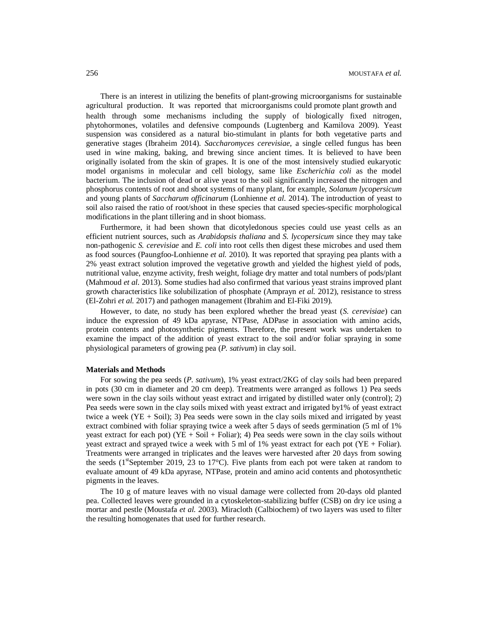There is an interest in utilizing the benefits of plant-growing microorganisms for sustainable agricultural production. It was reported that microorganisms could promote plant growth and health through some mechanisms including the supply of biologically fixed nitrogen, phytohormones, volatiles and defensive compounds (Lugtenberg and Kamilova 2009). Yeast suspension was considered as a natural bio-stimulant in plants for both vegetative parts and generative stages (Ibraheim 2014). *Saccharomyces cerevisiae*, a single celled fungus has been used in wine making, baking, and brewing since ancient times. It is believed to have been originally isolated from the skin of grapes. It is one of the most intensively studied eukaryotic model organisms in molecular and cell biology, same like *Escherichia coli* as the model bacterium. The inclusion of dead or alive yeast to the soil significantly increased the nitrogen and phosphorus contents of root and shoot systems of many plant, for example, *Solanum lycopersicum* and young plants of *Saccharum officinarum* (Lonhienne *et al.* 2014). The introduction of yeast to soil also raised the ratio of root/shoot in these species that caused species-specific morphological modifications in the plant tillering and in shoot biomass.

Furthermore, it had been shown that dicotyledonous species could use yeast cells as an efficient nutrient sources, such as *Arabidopsis thaliana* and *S. lycopersicum* since they may take non-pathogenic *S. cerevisiae* and *E. coli* into root cells then digest these microbes and used them as food sources (Paungfoo-Lonhienne *et al.* 2010). It was reported that spraying pea plants with a 2% yeast extract solution improved the vegetative growth and yielded the highest yield of pods, nutritional value, enzyme activity, fresh weight, foliage dry matter and total numbers of pods/plant (Mahmoud *et al.* 2013). Some studies had also confirmed that various yeast strains improved plant growth characteristics like solubilization of phosphate (Amprayn *et al.* 2012), resistance to stress (El-Zohri *et al.* 2017) and pathogen management (Ibrahim and El-Fiki 2019).

However, to date, no study has been explored whether the bread yeast (*S. cerevisiae*) can induce the expression of 49 kDa apyrase, NTPase, ADPase in association with amino acids, protein contents and photosynthetic pigments. Therefore, the present work was undertaken to examine the impact of the addition of yeast extract to the soil and/or foliar spraying in some physiological parameters of growing pea (*P. sativum*) in clay soil.

### **Materials and Methods**

For sowing the pea seeds (*P. sativum*), 1% yeast extract/2KG of clay soils had been prepared in pots (30 cm in diameter and 20 cm deep). Treatments were arranged as follows 1) Pea seeds were sown in the clay soils without yeast extract and irrigated by distilled water only (control); 2) Pea seeds were sown in the clay soils mixed with yeast extract and irrigated by1% of yeast extract twice a week  $(YE + Soil)$ ; 3) Pea seeds were sown in the clay soils mixed and irrigated by yeast extract combined with foliar spraying twice a week after 5 days of seeds germination (5 ml of 1% yeast extract for each pot) ( $YE + Soil + Foliar$ ); 4) Pea seeds were sown in the clay soils without yeast extract and sprayed twice a week with 5 ml of 1% yeast extract for each pot (YE + Foliar). Treatments were arranged in triplicates and the leaves were harvested after 20 days from sowing the seeds ( $1^{st}$ September 2019, 23 to  $17^{\circ}$ C). Five plants from each pot were taken at random to evaluate amount of 49 kDa apyrase, NTPase, protein and amino acid contents and photosynthetic pigments in the leaves.

The 10 g of mature leaves with no visual damage were collected from 20-days old planted pea. Collected leaves were grounded in a cytoskeleton-stabilizing buffer (CSB) on dry ice using a mortar and pestle (Moustafa *et al.* 2003). Miracloth (Calbiochem) of two layers was used to filter the resulting homogenates that used for further research.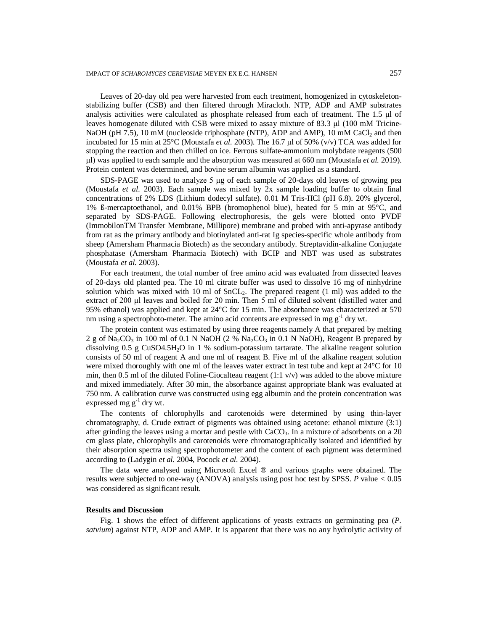Leaves of 20-day old pea were harvested from each treatment, homogenized in cytoskeletonstabilizing buffer (CSB) and then filtered through Miracloth. NTP, ADP and AMP substrates analysis activities were calculated as phosphate released from each of treatment. The 1.5 μl of leaves homogenate diluted with CSB were mixed to assay mixture of 83.3 μl (100 mM Tricine-NaOH (pH 7.5), 10 mM (nucleoside triphosphate (NTP), ADP and AMP), 10 mM CaCl<sub>2</sub> and then incubated for 15 min at 25°C (Moustafa *et al.* 2003). The 16.7 μl of 50% (v/v) TCA was added for stopping the reaction and then chilled on ice. Ferrous sulfate-ammonium molybdate reagents (500 μl) was applied to each sample and the absorption was measured at 660 nm (Moustafa *et al.* 2019). Protein content was determined, and bovine serum albumin was applied as a standard.

SDS-PAGE was used to analyze 5 μg of each sample of 20-days old leaves of growing pea (Moustafa *et al*. 2003). Each sample was mixed by 2x sample loading buffer to obtain final concentrations of 2% LDS (Lithium dodecyl sulfate). 0.01 M Tris-HCl (pH 6.8). 20% glycerol, 1% ß-mercaptoethanol, and 0.01% BPB (bromophenol blue), heated for 5 min at 95°C, and separated by SDS-PAGE. Following electrophoresis, the gels were blotted onto PVDF (ImmobilonTM Transfer Membrane, Millipore) membrane and probed with anti-apyrase antibody from rat as the primary antibody and biotinylated anti-rat Ig species-specific whole antibody from sheep (Amersham Pharmacia Biotech) as the secondary antibody. Streptavidin-alkaline Conjugate phosphatase (Amersham Pharmacia Biotech) with BCIP and NBT was used as substrates (Moustafa *et al.* 2003).

For each treatment, the total number of free amino acid was evaluated from dissected leaves of 20-days old planted pea. The 10 ml citrate buffer was used to dissolve 16 mg of ninhydrine solution which was mixed with 10 ml of  $SnCL<sub>2</sub>$ . The prepared reagent (1 ml) was added to the extract of 200 μl leaves and boiled for 20 min. Then 5 ml of diluted solvent (distilled water and 95% ethanol) was applied and kept at 24°C for 15 min. The absorbance was characterized at 570 nm using a spectrophoto-meter. The amino acid contents are expressed in mg  $g^{-1}$  dry wt.

The protein content was estimated by using three reagents namely A that prepared by melting 2 g of Na<sub>2</sub>CO<sub>3</sub> in 100 ml of 0.1 N NaOH (2 % Na<sub>2</sub>CO<sub>3</sub> in 0.1 N NaOH), Reagent B prepared by dissolving 0.5 g CuSO4.5H2O in 1 % sodium-potassium tartarate. The alkaline reagent solution consists of 50 ml of reagent A and one ml of reagent B. Five ml of the alkaline reagent solution were mixed thoroughly with one ml of the leaves water extract in test tube and kept at  $24^{\circ}$ C for 10 min, then 0.5 ml of the diluted Foline-Ciocalteau reagent  $(1:1 \text{ v/v})$  was added to the above mixture and mixed immediately. After 30 min, the absorbance against appropriate blank was evaluated at 750 nm. A calibration curve was constructed using egg albumin and the protein concentration was expressed mg g<sup>-1</sup> dry wt.

The contents of chlorophylls and carotenoids were determined by using thin-layer chromatography, d. Crude extract of pigments was obtained using acetone: ethanol mixture (3:1) after grinding the leaves using a mortar and pestle with CaCO<sub>3</sub>. In a mixture of adsorbents on a 20 cm glass plate, chlorophylls and carotenoids were chromatographically isolated and identified by their absorption spectra using spectrophotometer and the content of each pigment was determined according to (Ladygin *et al.* 2004, Pocock *et al.* 2004).

The data were analysed using Microsoft Excel ® and various graphs were obtained. The results were subjected to one-way (ANOVA) analysis using post hoc test by SPSS. *P* value *<* 0.05 was considered as significant result.

#### **Results and Discussion**

Fig. 1 shows the effect of different applications of yeasts extracts on germinating pea (*P. satvium*) against NTP, ADP and AMP. It is apparent that there was no any hydrolytic activity of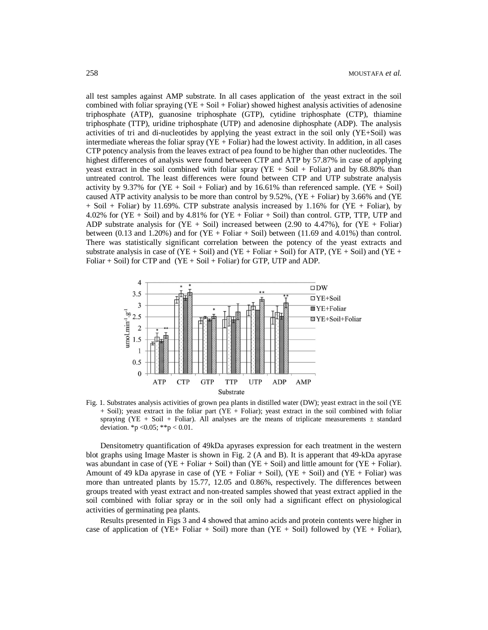all test samples against AMP substrate. In all cases application of the yeast extract in the soil combined with foliar spraying  $(YE + Soil + Foliar)$  showed highest analysis activities of adenosine triphosphate (ATP), guanosine triphosphate (GTP), cytidine triphosphate (CTP), thiamine triphosphate (TTP), uridine triphosphate (UTP) and adenosine diphosphate (ADP). The analysis activities of tri and di-nucleotides by applying the yeast extract in the soil only (YE+Soil) was intermediate whereas the foliar spray  $(YE + Foliar)$  had the lowest activity. In addition, in all cases CTP potency analysis from the leaves extract of pea found to be higher than other nucleotides. The highest differences of analysis were found between CTP and ATP by 57.87% in case of applying yeast extract in the soil combined with foliar spray  $(YE + SoiI + Foliar)$  and by 68.80% than untreated control. The least differences were found between CTP and UTP substrate analysis activity by 9.37% for  $(YE + Soil + Foliar)$  and by 16.61% than referenced sample.  $(YE + Soil)$ caused ATP activity analysis to be more than control by 9.52%, (YE + Foliar) by 3.66% and (YE  $+$  Soil  $+$  Foliar) by 11.69%. CTP substrate analysis increased by 1.16% for (YE  $+$  Foliar), by 4.02% for (YE + Soil) and by 4.81% for (YE + Foliar + Soil) than control. GTP, TTP, UTP and ADP substrate analysis for  $(YE + Soil)$  increased between (2.90 to 4.47%), for  $(YE + Foliar)$ between  $(0.13 \text{ and } 1.20\%)$  and for  $(YE + \text{Foliar} + \text{Soil})$  between  $(11.69 \text{ and } 4.01\%)$  than control. There was statistically significant correlation between the potency of the yeast extracts and substrate analysis in case of  $(YE + Soil)$  and  $(YE + Foliar + Soil)$  for ATP,  $(YE + Soil)$  and  $(YE +$ Foliar  $+$  Soil) for CTP and (YE  $+$  Soil  $+$  Foliar) for GTP, UTP and ADP.



Fig. 1. Substrates analysis activities of grown pea plants in distilled water (DW); yeast extract in the soil (YE + Soil); yeast extract in the foliar part (YE + Foliar); yeast extract in the soil combined with foliar spraying (YE + Soil + Foliar). All analyses are the means of triplicate measurements  $\pm$  standard deviation.  $*_{p} < 0.05$ ;  $*_{p} < 0.01$ .

Densitometry quantification of 49kDa apyrases expression for each treatment in the western blot graphs using Image Master is shown in Fig. 2 (A and B). It is apperant that 49-kDa apyrase was abundant in case of  $(YE + Foliar + Soil)$  than  $(YE + Soil)$  and little amount for  $(YE + Foliar)$ . Amount of 49 kDa apyrase in case of  $(YE + \text{Foliar} + \text{Soil})$ ,  $(YE + \text{Soil})$  and  $(YE + \text{Foliar})$  was more than untreated plants by 15.77, 12.05 and 0.86%, respectively. The differences between groups treated with yeast extract and non-treated samples showed that yeast extract applied in the soil combined with foliar spray or in the soil only had a significant effect on physiological activities of germinating pea plants.

Results presented in Figs 3 and 4 showed that amino acids and protein contents were higher in case of application of (YE+ Foliar + Soil) more than (YE + Soil) followed by (YE + Foliar),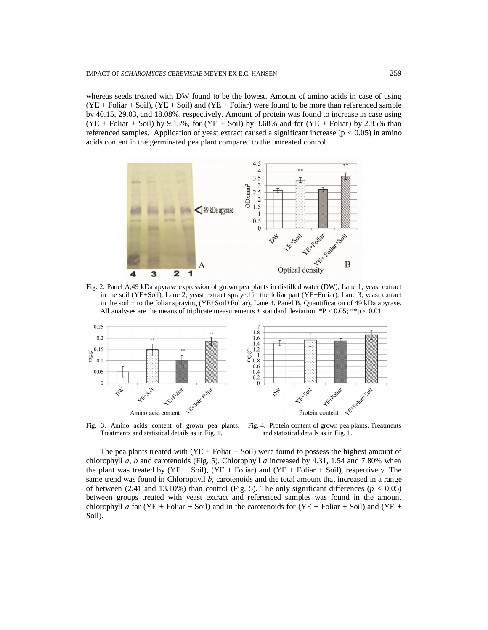whereas seeds treated with DW found to be the lowest. Amount of amino acids in case of using  $(YE + Foliar + Soil)$ ,  $(YE + Soil)$  and  $(YE + Foliar)$  were found to be more than referenced sample by 40.15, 29.03, and 18.08%, respectively. Amount of protein was found to increase in case using  $(YE + \text{Foliar} + \text{Soil})$  by 9.13%, for  $(YE + \text{Soil})$  by 3.68% and for  $(YE + \text{Foliar})$  by 2.85% than referenced samples. Application of yeast extract caused a significant increase (p *<* 0.05) in amino acids content in the germinated pea plant compared to the untreated control.



Fig. 2. Panel A,49 kDa apyrase expression of grown pea plants in distilled water (DW), Lane 1; yeast extract in the soil (YE+Soil), Lane 2; yeast extract sprayed in the foliar part (YE+Foliar), Lane 3; yeast extract in the soil + to the foliar spraying (YE+Soil+Foliar), Lane 4. Panel B, Quantification of 49 kDa apyrase. All analyses are the means of triplicate measurements  $\pm$  standard deviation. \*P < 0.05; \*\*p < 0.01.



Fig. 3. Amino acids content of grown pea plants. Treatments and statistical details as in Fig. 1.

and statistical details as in Fig. 1.

The pea plants treated with  $(YE + Foliar + Soil)$  were found to possess the highest amount of chlorophyll *a*, *b* and carotenoids (Fig. 5). Chlorophyll *a* increased by 4.31, 1.54 and 7.80% when the plant was treated by  $(YE + \text{Soil})$ ,  $(YE + \text{Foliar})$  and  $(YE + \text{Foliar} + \text{Soil})$ , respectively. The same trend was found in Chlorophyll *b*, carotenoids and the total amount that increased in a range of between  $(2.41 \text{ and } 13.10\%)$  than control (Fig. 5). The only significant differences ( $p < 0.05$ ) between groups treated with yeast extract and referenced samples was found in the amount chlorophyll *a* for (YE + Foliar + Soil) and in the carotenoids for (YE + Foliar + Soil) and (YE + Soil).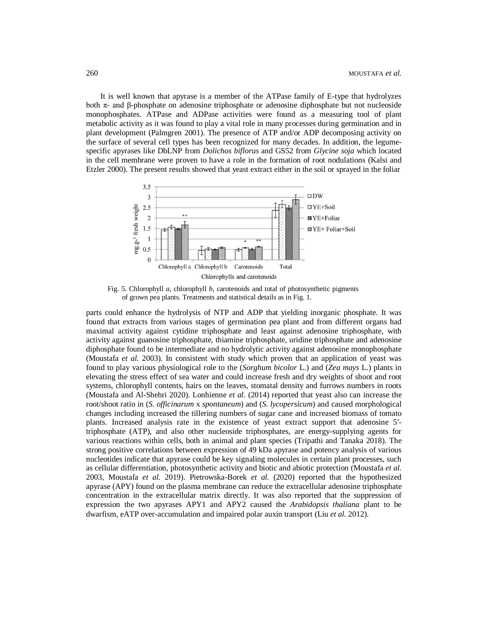It is well known that apyrase is a member of the ATPase family of E-type that hydrolyzes both  $\pi$ - and β-phosphate on adenosine triphosphate or adenosine diphosphate but not nucleoside monophosphates. ATPase and ADPase activities were found as a measuring tool of plant metabolic activity as it was found to play a vital role in many processes during germination and in plant development (Palmgren 2001). The presence of ATP and/or ADP decomposing activity on the surface of several cell types has been recognized for many decades. In addition, the legumespecific apyrases like DbLNP from *Dolichos biflorus* and GS52 from *Glycine soja* which located in the cell membrane were proven to have a role in the formation of root nodulations (Kalsi and Etzler 2000). The present results showed that yeast extract either in the soil or sprayed in the foliar



Fig. 5. Chlorophyll *a*, chlorophyll *b*, carotenoids and total of photosynthetic pigments of grown pea plants. Treatments and statistical details as in Fig. 1.

parts could enhance the hydrolysis of NTP and ADP that yielding inorganic phosphate. It was found that extracts from various stages of germination pea plant and from different organs had maximal activity against cytidine triphosphate and least against adenosine triphosphate, with activity against guanosine triphosphate, thiamine triphosphate, uridine triphosphate and adenosine diphosphate found to be intermediate and no hydrolytic activity against adenosine monophosphate (Moustafa *et al.* 2003). In consistent with study which proven that an application of yeast was found to play various physiological role to the (*Sorghum bicolor* L.) and (*Zea mays* L.) plants in elevating the stress effect of sea water and could increase fresh and dry weights of shoot and root systems, chlorophyll contents, hairs on the leaves, stomatal density and furrows numbers in roots (Moustafa and Al-Shehri 2020). Lonhienne *et al.* (2014) reported that yeast also can increase the root/shoot ratio in (*S. officinarum* x *spontaneum*) and (*S. lycopersicum*) and caused morphological changes including increased the tillering numbers of sugar cane and increased biomass of tomato plants. Increased analysis rate in the existence of yeast extract support that adenosine 5′ triphosphate (ATP), and also other nucleoside triphosphates, are energy-supplying agents for various reactions within cells, both in animal and plant species (Tripathi and Tanaka 2018). The strong positive correlations between expression of 49 kDa apyrase and potency analysis of various nucleotides indicate that apyrase could be key signaling molecules in certain plant processes, such as cellular differentiation, photosynthetic activity and biotic and abiotic protection (Moustafa *et al.* 2003, Moustafa *et al.* 2019). Pietrowska-Borek *et al.* (2020) reported that the hypothesized apyrase (APY) found on the plasma membrane can reduce the extracellular adenosine triphosphate concentration in the extracellular matrix directly. It was also reported that the suppression of expression the two apyrases APY1 and APY2 caused the *Arabidopsis thaliana* plant to be dwarfism, eATP over-accumulation and impaired polar auxin transport (Liu *et al.* 2012).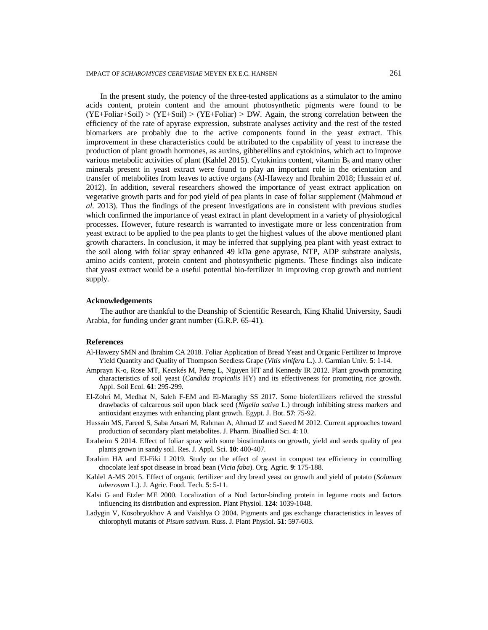In the present study, the potency of the three-tested applications as a stimulator to the amino acids content, protein content and the amount photosynthetic pigments were found to be  $(YE + Foliar + Soil)$  >  $(YE + Soil)$  >  $(YE + Foliar)$  > DW. Again, the strong correlation between the efficiency of the rate of apyrase expression, substrate analyses activity and the rest of the tested biomarkers are probably due to the active components found in the yeast extract. This improvement in these characteristics could be attributed to the capability of yeast to increase the production of plant growth hormones, as auxins, gibberellins and cytokinins, which act to improve various metabolic activities of plant (Kahlel 2015). Cytokinins content, vitamin  $B_5$  and many other minerals present in yeast extract were found to play an important role in the orientation and transfer of metabolites from leaves to active organs (Al-Hawezy and Ibrahim 2018; Hussain *et al.* 2012). In addition, several researchers showed the importance of yeast extract application on vegetative growth parts and for pod yield of pea plants in case of foliar supplement (Mahmoud *et al.* 2013). Thus the findings of the present investigations are in consistent with previous studies which confirmed the importance of yeast extract in plant development in a variety of physiological processes. However, future research is warranted to investigate more or less concentration from yeast extract to be applied to the pea plants to get the highest values of the above mentioned plant growth characters. In conclusion, it may be inferred that supplying pea plant with yeast extract to the soil along with foliar spray enhanced 49 kDa gene apyrase, NTP, ADP substrate analysis, amino acids content, protein content and photosynthetic pigments. These findings also indicate that yeast extract would be a useful potential bio-fertilizer in improving crop growth and nutrient supply.

### **Acknowledgements**

The author are thankful to the Deanship of Scientific Research, King Khalid University, Saudi Arabia, for funding under grant number (G.R.P. 65-41).

## **References**

- Al-Hawezy SMN and Ibrahim CA 2018. Foliar Application of Bread Yeast and Organic Fertilizer to Improve Yield Quantity and Quality of Thompson Seedless Grape (*Vitis vinifera* L.). J. Garmian Univ. **5**: 1-14.
- Amprayn K-o, Rose MT, Kecskés M, Pereg L, Nguyen HT and Kennedy IR 2012. Plant growth promoting characteristics of soil yeast (*Candida tropicalis* HY) and its effectiveness for promoting rice growth. Appl. Soil Ecol. **61**: 295-299.
- El-Zohri M, Medhat N, Saleh F-EM and El-Maraghy SS 2017. Some biofertilizers relieved the stressful drawbacks of calcareous soil upon black seed (*Nigella sativa* L.) through inhibiting stress markers and antioxidant enzymes with enhancing plant growth. Egypt. J. Bot. **57**: 75-92.
- Hussain MS, Fareed S, Saba Ansari M, Rahman A, Ahmad IZ and Saeed M 2012. Current approaches toward production of secondary plant metabolites. J. Pharm. Bioallied Sci. **4**: 10.
- Ibraheim S 2014. Effect of foliar spray with some biostimulants on growth, yield and seeds quality of pea plants grown in sandy soil. Res. J. Appl. Sci. **10**: 400-407.
- Ibrahim HA and El-Fiki I 2019. Study on the effect of yeast in compost tea efficiency in controlling chocolate leaf spot disease in broad bean (*Vicia faba*). Org. Agric. **9**: 175-188.
- Kahlel A-MS 2015. Effect of organic fertilizer and dry bread yeast on growth and yield of potato (*Solanum tuberosum* L.). J. Agric. Food. Tech. **5**: 5-11.
- Kalsi G and Etzler ME 2000. Localization of a Nod factor-binding protein in legume roots and factors influencing its distribution and expression. Plant Physiol. **124**: 1039-1048.
- Ladygin V, Kosobryukhov A and Vaishlya O 2004. Pigments and gas exchange characteristics in leaves of chlorophyll mutants of *Pisum sativum*. Russ. J. Plant Physiol. **51**: 597-603.